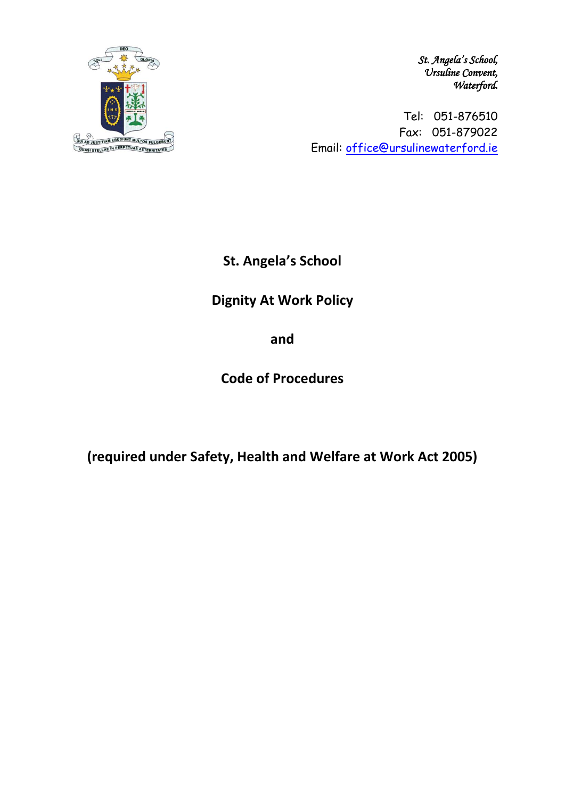

*St. Angela's School, Ursuline Convent, Waterford.* 

Tel: 051-876510 Fax: 051-879022 Email: [office@ursulinewaterford.ie](mailto:office@ursulinewaterford.ie)

**St. Angela's School**

# **Dignity At Work Policy**

**and**

**Code of Procedures**

**(required under Safety, Health and Welfare at Work Act 2005)**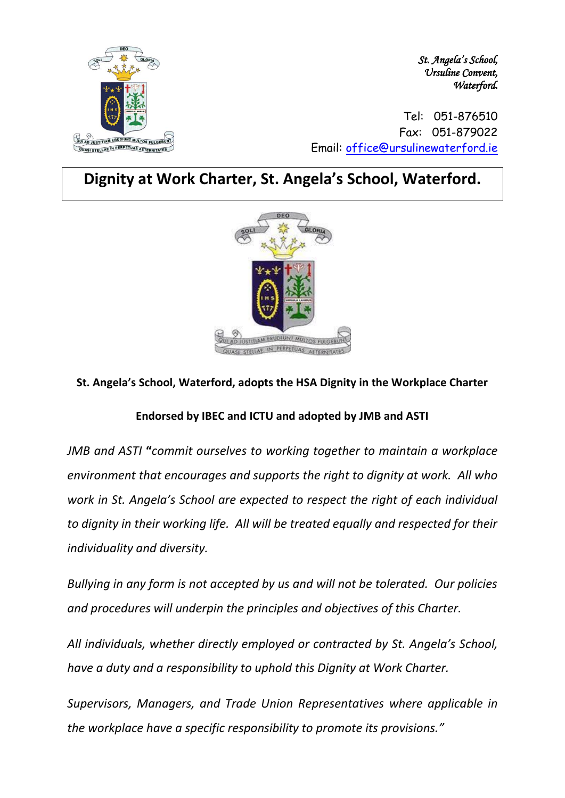

*St. Angela's School, Ursuline Convent, Waterford.* 

Tel: 051-876510 Fax: 051-879022 Email: [office@ursulinewaterford.ie](mailto:office@ursulinewaterford.ie)

# **Dignity at Work Charter, St. Angela's School, Waterford.**



### **St. Angela's School, Waterford, adopts the HSA Dignity in the Workplace Charter**

### **Endorsed by IBEC and ICTU and adopted by JMB and ASTI**

*JMB and ASTI* **"***commit ourselves to working together to maintain a workplace environment that encourages and supports the right to dignity at work. All who work in St. Angela's School are expected to respect the right of each individual to dignity in their working life. All will be treated equally and respected for their individuality and diversity.*

*Bullying in any form is not accepted by us and will not be tolerated. Our policies and procedures will underpin the principles and objectives of this Charter.*

*All individuals, whether directly employed or contracted by St. Angela's School, have a duty and a responsibility to uphold this Dignity at Work Charter.*

*Supervisors, Managers, and Trade Union Representatives where applicable in the workplace have a specific responsibility to promote its provisions."*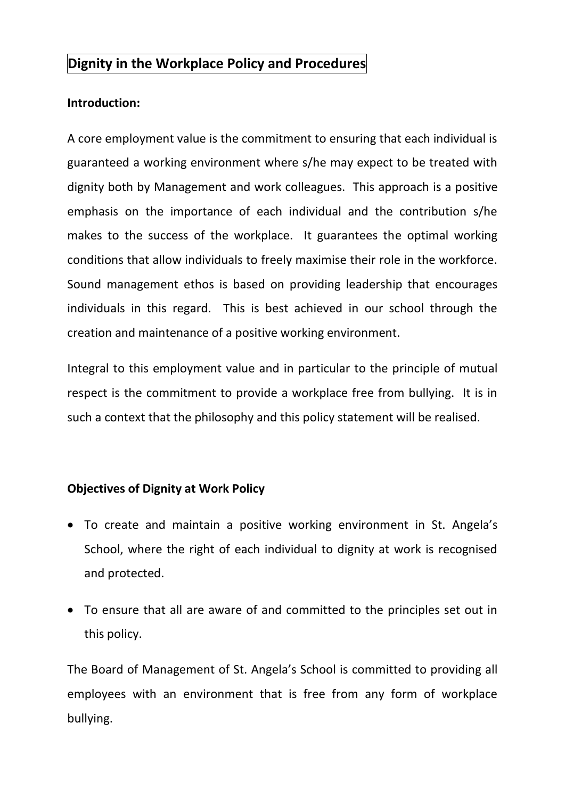# **Dignity in the Workplace Policy and Procedures**

## **Introduction:**

A core employment value is the commitment to ensuring that each individual is guaranteed a working environment where s/he may expect to be treated with dignity both by Management and work colleagues. This approach is a positive emphasis on the importance of each individual and the contribution s/he makes to the success of the workplace. It guarantees the optimal working conditions that allow individuals to freely maximise their role in the workforce. Sound management ethos is based on providing leadership that encourages individuals in this regard. This is best achieved in our school through the creation and maintenance of a positive working environment.

Integral to this employment value and in particular to the principle of mutual respect is the commitment to provide a workplace free from bullying. It is in such a context that the philosophy and this policy statement will be realised.

## **Objectives of Dignity at Work Policy**

- To create and maintain a positive working environment in St. Angela's School, where the right of each individual to dignity at work is recognised and protected.
- To ensure that all are aware of and committed to the principles set out in this policy.

The Board of Management of St. Angela's School is committed to providing all employees with an environment that is free from any form of workplace bullying.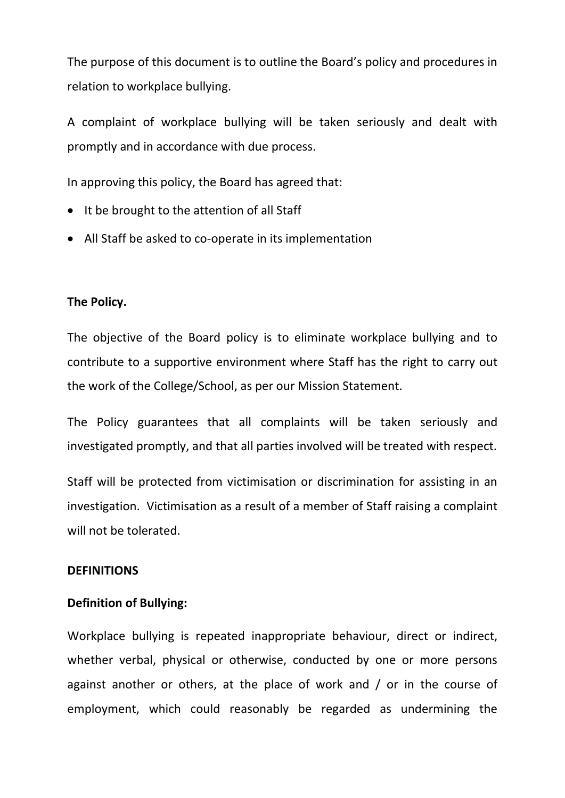The purpose of this document is to outline the Board's policy and procedures in relation to workplace bullying.

A complaint of workplace bullying will be taken seriously and dealt with promptly and in accordance with due process.

In approving this policy, the Board has agreed that:

- It be brought to the attention of all Staff
- All Staff be asked to co-operate in its implementation

#### **The Policy.**

The objective of the Board policy is to eliminate workplace bullying and to contribute to a supportive environment where Staff has the right to carry out the work of the College/School, as per our Mission Statement.

The Policy guarantees that all complaints will be taken seriously and investigated promptly, and that all parties involved will be treated with respect.

Staff will be protected from victimisation or discrimination for assisting in an investigation. Victimisation as a result of a member of Staff raising a complaint will not be tolerated.

#### **DEFINITIONS**

### **Definition of Bullying:**

Workplace bullying is repeated inappropriate behaviour, direct or indirect, whether verbal, physical or otherwise, conducted by one or more persons against another or others, at the place of work and / or in the course of employment, which could reasonably be regarded as undermining the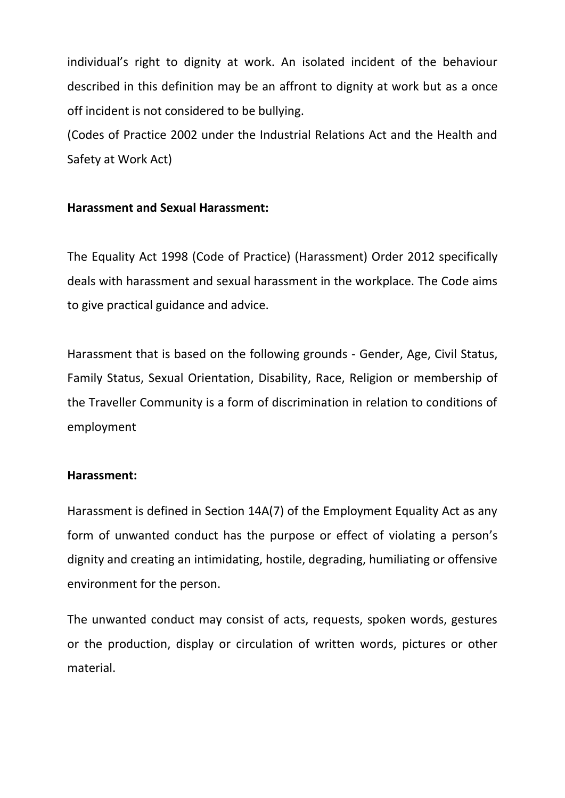individual's right to dignity at work. An isolated incident of the behaviour described in this definition may be an affront to dignity at work but as a once off incident is not considered to be bullying.

(Codes of Practice 2002 under the Industrial Relations Act and the Health and Safety at Work Act)

### **Harassment and Sexual Harassment:**

The Equality Act 1998 (Code of Practice) (Harassment) Order 2012 specifically deals with harassment and sexual harassment in the workplace. The Code aims to give practical guidance and advice.

Harassment that is based on the following grounds - Gender, Age, Civil Status, Family Status, Sexual Orientation, Disability, Race, Religion or membership of the Traveller Community is a form of discrimination in relation to conditions of employment

### **Harassment:**

Harassment is defined in Section 14A(7) of the Employment Equality Act as any form of unwanted conduct has the purpose or effect of violating a person's dignity and creating an intimidating, hostile, degrading, humiliating or offensive environment for the person.

The unwanted conduct may consist of acts, requests, spoken words, gestures or the production, display or circulation of written words, pictures or other material.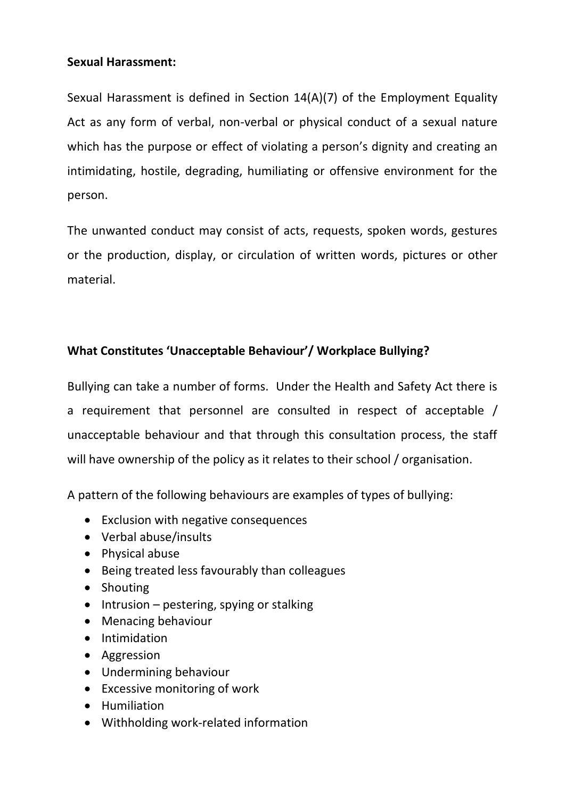## **Sexual Harassment:**

Sexual Harassment is defined in Section 14(A)(7) of the Employment Equality Act as any form of verbal, non-verbal or physical conduct of a sexual nature which has the purpose or effect of violating a person's dignity and creating an intimidating, hostile, degrading, humiliating or offensive environment for the person.

The unwanted conduct may consist of acts, requests, spoken words, gestures or the production, display, or circulation of written words, pictures or other material.

## **What Constitutes 'Unacceptable Behaviour'/ Workplace Bullying?**

Bullying can take a number of forms. Under the Health and Safety Act there is a requirement that personnel are consulted in respect of acceptable / unacceptable behaviour and that through this consultation process, the staff will have ownership of the policy as it relates to their school / organisation.

A pattern of the following behaviours are examples of types of bullying:

- Exclusion with negative consequences
- Verbal abuse/insults
- Physical abuse
- Being treated less favourably than colleagues
- Shouting
- Intrusion pestering, spying or stalking
- Menacing behaviour
- Intimidation
- Aggression
- Undermining behaviour
- Excessive monitoring of work
- Humiliation
- Withholding work-related information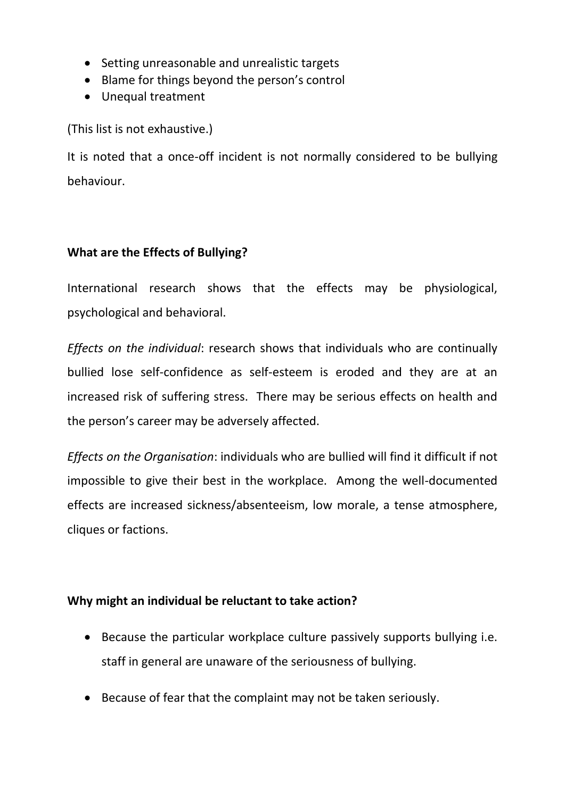- Setting unreasonable and unrealistic targets
- Blame for things beyond the person's control
- Unequal treatment

(This list is not exhaustive.)

It is noted that a once-off incident is not normally considered to be bullying behaviour.

## **What are the Effects of Bullying?**

International research shows that the effects may be physiological, psychological and behavioral.

*Effects on the individual*: research shows that individuals who are continually bullied lose self-confidence as self-esteem is eroded and they are at an increased risk of suffering stress. There may be serious effects on health and the person's career may be adversely affected.

*Effects on the Organisation*: individuals who are bullied will find it difficult if not impossible to give their best in the workplace. Among the well-documented effects are increased sickness/absenteeism, low morale, a tense atmosphere, cliques or factions.

## **Why might an individual be reluctant to take action?**

- Because the particular workplace culture passively supports bullying i.e. staff in general are unaware of the seriousness of bullying.
- Because of fear that the complaint may not be taken seriously.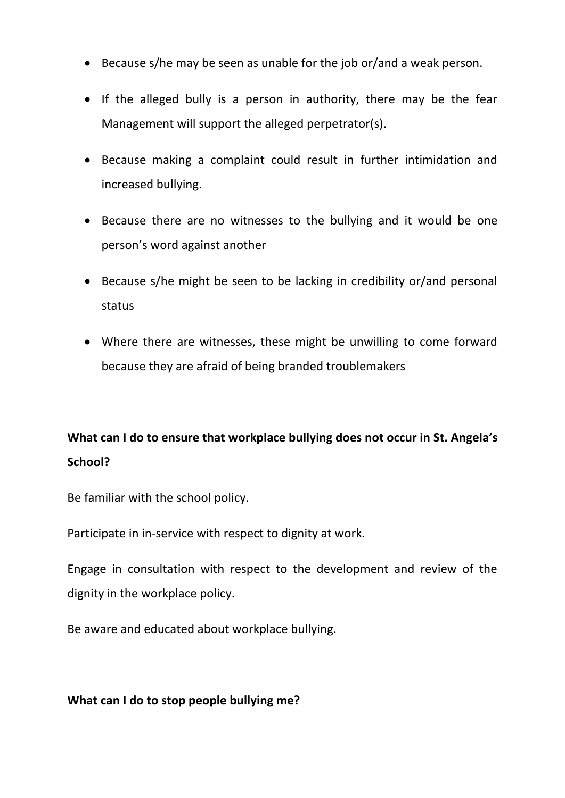- Because s/he may be seen as unable for the job or/and a weak person.
- If the alleged bully is a person in authority, there may be the fear Management will support the alleged perpetrator(s).
- Because making a complaint could result in further intimidation and increased bullying.
- Because there are no witnesses to the bullying and it would be one person's word against another
- Because s/he might be seen to be lacking in credibility or/and personal status
- Where there are witnesses, these might be unwilling to come forward because they are afraid of being branded troublemakers

# **What can I do to ensure that workplace bullying does not occur in St. Angela's School?**

Be familiar with the school policy.

Participate in in-service with respect to dignity at work.

Engage in consultation with respect to the development and review of the dignity in the workplace policy.

Be aware and educated about workplace bullying.

### **What can I do to stop people bullying me?**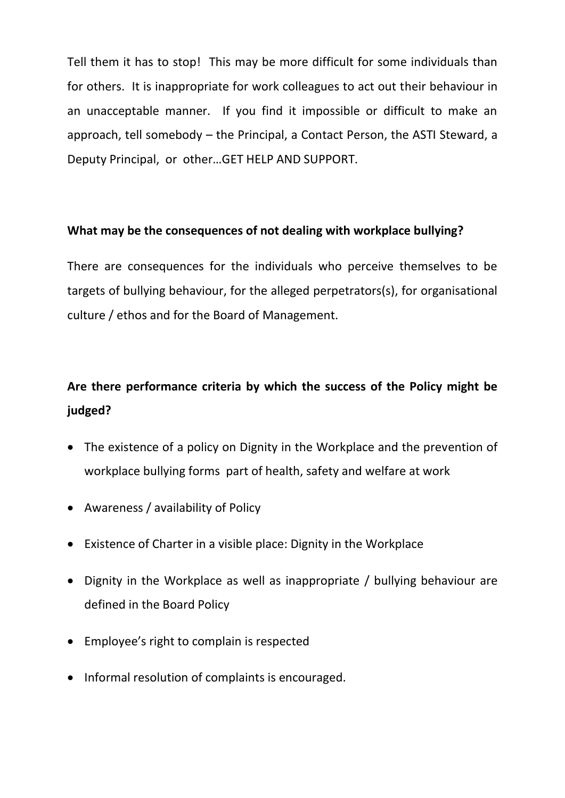Tell them it has to stop! This may be more difficult for some individuals than for others. It is inappropriate for work colleagues to act out their behaviour in an unacceptable manner. If you find it impossible or difficult to make an approach, tell somebody – the Principal, a Contact Person, the ASTI Steward, a Deputy Principal, or other…GET HELP AND SUPPORT.

### **What may be the consequences of not dealing with workplace bullying?**

There are consequences for the individuals who perceive themselves to be targets of bullying behaviour, for the alleged perpetrators(s), for organisational culture / ethos and for the Board of Management.

# **Are there performance criteria by which the success of the Policy might be judged?**

- The existence of a policy on Dignity in the Workplace and the prevention of workplace bullying forms part of health, safety and welfare at work
- Awareness / availability of Policy
- Existence of Charter in a visible place: Dignity in the Workplace
- Dignity in the Workplace as well as inappropriate / bullying behaviour are defined in the Board Policy
- Employee's right to complain is respected
- Informal resolution of complaints is encouraged.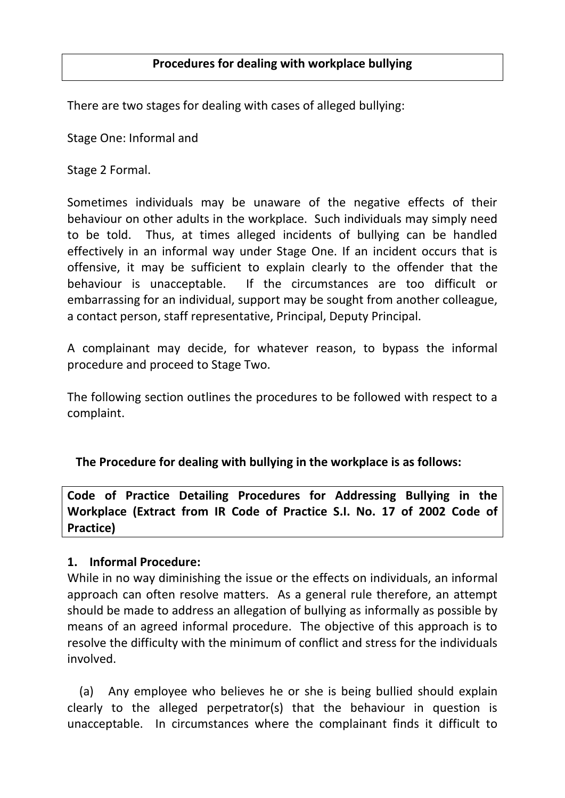There are two stages for dealing with cases of alleged bullying:

Stage One: Informal and

Stage 2 Formal.

Sometimes individuals may be unaware of the negative effects of their behaviour on other adults in the workplace. Such individuals may simply need to be told. Thus, at times alleged incidents of bullying can be handled effectively in an informal way under Stage One. If an incident occurs that is offensive, it may be sufficient to explain clearly to the offender that the behaviour is unacceptable. If the circumstances are too difficult or embarrassing for an individual, support may be sought from another colleague, a contact person, staff representative, Principal, Deputy Principal.

A complainant may decide, for whatever reason, to bypass the informal procedure and proceed to Stage Two.

The following section outlines the procedures to be followed with respect to a complaint.

## **The Procedure for dealing with bullying in the workplace is as follows:**

**Code of Practice Detailing Procedures for Addressing Bullying in the Workplace (Extract from IR Code of Practice S.I. No. 17 of 2002 Code of Practice)** 

### **1. Informal Procedure:**

While in no way diminishing the issue or the effects on individuals, an informal approach can often resolve matters. As a general rule therefore, an attempt should be made to address an allegation of bullying as informally as possible by means of an agreed informal procedure. The objective of this approach is to resolve the difficulty with the minimum of conflict and stress for the individuals involved.

 (a) Any employee who believes he or she is being bullied should explain clearly to the alleged perpetrator(s) that the behaviour in question is unacceptable. In circumstances where the complainant finds it difficult to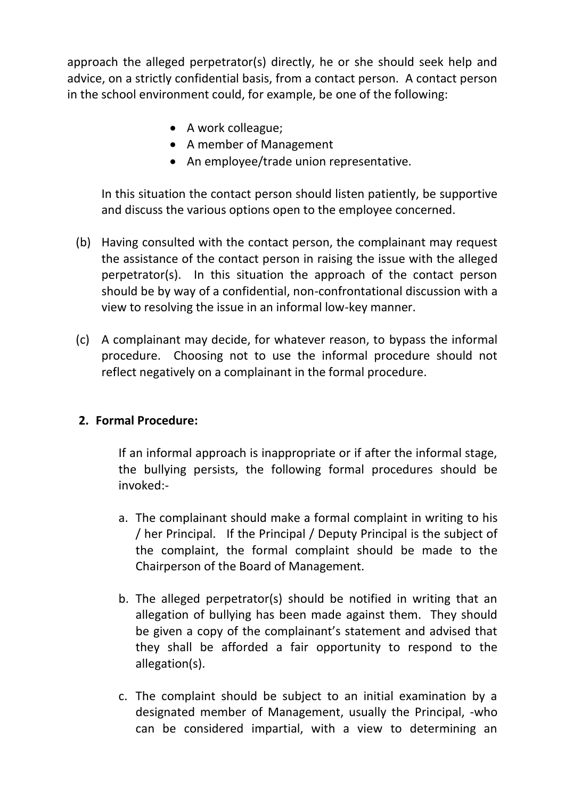approach the alleged perpetrator(s) directly, he or she should seek help and advice, on a strictly confidential basis, from a contact person. A contact person in the school environment could, for example, be one of the following:

- A work colleague;
- A member of Management
- An employee/trade union representative.

In this situation the contact person should listen patiently, be supportive and discuss the various options open to the employee concerned.

- (b) Having consulted with the contact person, the complainant may request the assistance of the contact person in raising the issue with the alleged perpetrator(s). In this situation the approach of the contact person should be by way of a confidential, non-confrontational discussion with a view to resolving the issue in an informal low-key manner.
- (c) A complainant may decide, for whatever reason, to bypass the informal procedure. Choosing not to use the informal procedure should not reflect negatively on a complainant in the formal procedure.

### **2. Formal Procedure:**

If an informal approach is inappropriate or if after the informal stage, the bullying persists, the following formal procedures should be invoked:-

- a. The complainant should make a formal complaint in writing to his / her Principal. If the Principal / Deputy Principal is the subject of the complaint, the formal complaint should be made to the Chairperson of the Board of Management.
- b. The alleged perpetrator(s) should be notified in writing that an allegation of bullying has been made against them. They should be given a copy of the complainant's statement and advised that they shall be afforded a fair opportunity to respond to the allegation(s).
- c. The complaint should be subject to an initial examination by a designated member of Management, usually the Principal, -who can be considered impartial, with a view to determining an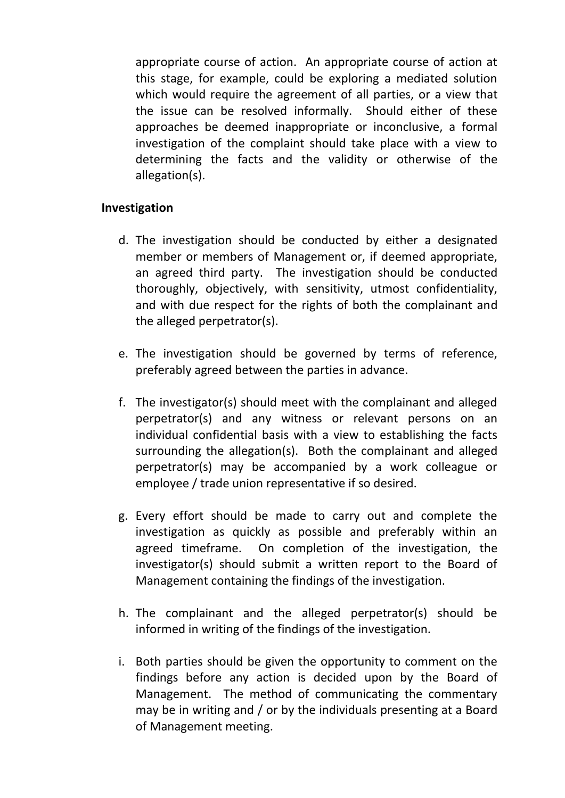appropriate course of action. An appropriate course of action at this stage, for example, could be exploring a mediated solution which would require the agreement of all parties, or a view that the issue can be resolved informally. Should either of these approaches be deemed inappropriate or inconclusive, a formal investigation of the complaint should take place with a view to determining the facts and the validity or otherwise of the allegation(s).

### **Investigation**

- d. The investigation should be conducted by either a designated member or members of Management or, if deemed appropriate, an agreed third party. The investigation should be conducted thoroughly, objectively, with sensitivity, utmost confidentiality, and with due respect for the rights of both the complainant and the alleged perpetrator(s).
- e. The investigation should be governed by terms of reference, preferably agreed between the parties in advance.
- f. The investigator(s) should meet with the complainant and alleged perpetrator(s) and any witness or relevant persons on an individual confidential basis with a view to establishing the facts surrounding the allegation(s). Both the complainant and alleged perpetrator(s) may be accompanied by a work colleague or employee / trade union representative if so desired.
- g. Every effort should be made to carry out and complete the investigation as quickly as possible and preferably within an agreed timeframe. On completion of the investigation, the investigator(s) should submit a written report to the Board of Management containing the findings of the investigation.
- h. The complainant and the alleged perpetrator(s) should be informed in writing of the findings of the investigation.
- i. Both parties should be given the opportunity to comment on the findings before any action is decided upon by the Board of Management. The method of communicating the commentary may be in writing and / or by the individuals presenting at a Board of Management meeting.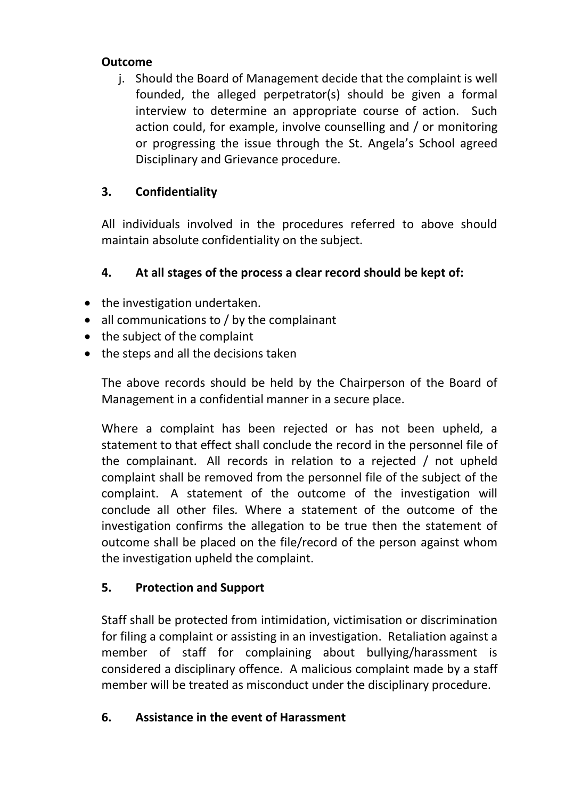## **Outcome**

j. Should the Board of Management decide that the complaint is well founded, the alleged perpetrator(s) should be given a formal interview to determine an appropriate course of action. Such action could, for example, involve counselling and / or monitoring or progressing the issue through the St. Angela's School agreed Disciplinary and Grievance procedure.

# **3. Confidentiality**

All individuals involved in the procedures referred to above should maintain absolute confidentiality on the subject.

# **4. At all stages of the process a clear record should be kept of:**

- the investigation undertaken.
- all communications to / by the complainant
- the subject of the complaint
- the steps and all the decisions taken

The above records should be held by the Chairperson of the Board of Management in a confidential manner in a secure place.

Where a complaint has been rejected or has not been upheld, a statement to that effect shall conclude the record in the personnel file of the complainant. All records in relation to a rejected / not upheld complaint shall be removed from the personnel file of the subject of the complaint. A statement of the outcome of the investigation will conclude all other files*.* Where a statement of the outcome of the investigation confirms the allegation to be true then the statement of outcome shall be placed on the file/record of the person against whom the investigation upheld the complaint.

# **5. Protection and Support**

Staff shall be protected from intimidation, victimisation or discrimination for filing a complaint or assisting in an investigation. Retaliation against a member of staff for complaining about bullying/harassment is considered a disciplinary offence. A malicious complaint made by a staff member will be treated as misconduct under the disciplinary procedure.

## **6. Assistance in the event of Harassment**